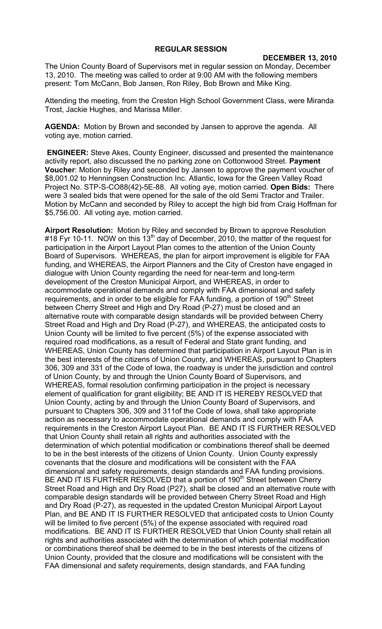## **REGULAR SESSION**

## **DECEMBER 13, 2010**

The Union County Board of Supervisors met in regular session on Monday, December 13, 2010. The meeting was called to order at 9:00 AM with the following members present: Tom McCann, Bob Jansen, Ron Riley, Bob Brown and Mike King.

Attending the meeting, from the Creston High School Government Class, were Miranda Trost, Jackie Hughes, and Marissa Miller.

**AGENDA:** Motion by Brown and seconded by Jansen to approve the agenda. All voting aye, motion carried.

**ENGINEER:** Steve Akes, County Engineer, discussed and presented the maintenance activity report, also discussed the no parking zone on Cottonwood Street. **Payment Voucher**: Motion by Riley and seconded by Jansen to approve the payment voucher of \$8,001.02 to Henningsen Construction Inc. Atlantic, Iowa for the Green Valley Road Project No. STP-S-CO88(42)-5E-88. All voting aye, motion carried. **Open Bids:** There were 3 sealed bids that were opened for the sale of the old Semi Tractor and Trailer. Motion by McCann and seconded by Riley to accept the high bid from Craig Hoffman for \$5,756.00. All voting aye, motion carried.

**Airport Resolution:** Motion by Riley and seconded by Brown to approve Resolution #18 Fyr 10-11. NOW on this 13<sup>th</sup> day of December, 2010, the matter of the request for participation in the Airport Layout Plan comes to the attention of the Union County Board of Supervisors. WHEREAS, the plan for airport improvement is eligible for FAA funding, and WHEREAS, the Airport Planners and the City of Creston have engaged in dialogue with Union County regarding the need for near-term and long-term development of the Creston Municipal Airport, and WHEREAS, in order to accommodate operational demands and comply with FAA dimensional and safety requirements, and in order to be eligible for FAA funding, a portion of 190<sup>th</sup> Street between Cherry Street and High and Dry Road (P-27) must be closed and an alternative route with comparable design standards will be provided between Cherry Street Road and High and Dry Road (P-27), and WHEREAS, the anticipated costs to Union County will be limited to five percent (5%) of the expense associated with required road modifications, as a result of Federal and State grant funding, and WHEREAS, Union County has determined that participation in Airport Layout Plan is in the best interests of the citizens of Union County, and WHEREAS, pursuant to Chapters 306, 309 and 331 of the Code of Iowa, the roadway is under the jurisdiction and control of Union County, by and through the Union County Board of Supervisors, and WHEREAS, formal resolution confirming participation in the project is necessary element of qualification for grant eligibility; BE AND IT IS HEREBY RESOLVED that Union County, acting by and through the Union County Board of Supervisors, and pursuant to Chapters 306, 309 and 311of the Code of Iowa, shall take appropriate action as necessary to accommodate operational demands and comply with FAA requirements in the Creston Airport Layout Plan. BE AND IT IS FURTHER RESOLVED that Union County shall retain all rights and authorities associated with the determination of which potential modification or combinations thereof shall be deemed to be in the best interests of the citizens of Union County. Union County expressly covenants that the closure and modifications will be consistent with the FAA dimensional and safety requirements, design standards and FAA funding provisions. BE AND IT IS FURTHER RESOLVED that a portion of 190<sup>th</sup> Street between Cherry Street Road and High and Dry Road (P27), shall be closed and an alternative route with comparable design standards will be provided between Cherry Street Road and High and Dry Road (P-27), as requested in the updated Creston Municipal Airport Layout Plan, and BE AND IT IS FURTHER RESOLVED that anticipated costs to Union County will be limited to five percent (5%) of the expense associated with required road modifications. BE AND IT IS FURTHER RESOLVED that Union County shall retain all rights and authorities associated with the determination of which potential modification or combinations thereof shall be deemed to be in the best interests of the citizens of Union County, provided that the closure and modifications will be consistent with the FAA dimensional and safety requirements, design standards, and FAA funding